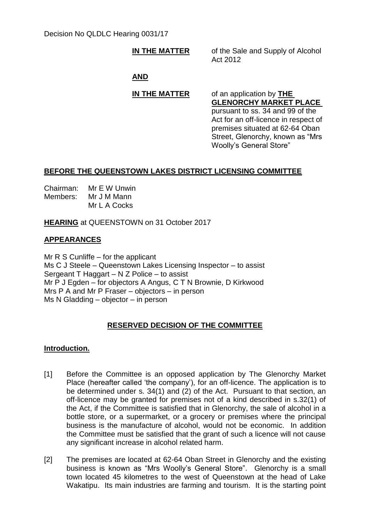# Decision No QLDLC Hearing 0031/17

**IN THE MATTER** of the Sale and Supply of Alcohol Act 2012

# **AND**

# **IN THE MATTER** of an application by **THE**

**GLENORCHY MARKET PLACE** pursuant to ss. 34 and 99 of the Act for an off-licence in respect of premises situated at 62-64 Oban Street, Glenorchy, known as "Mrs Woolly's General Store"

# **BEFORE THE QUEENSTOWN LAKES DISTRICT LICENSING COMMITTEE**

Chairman: Mr E W Unwin Members: Mr J M Mann Mr L A Cocks

**HEARING** at QUEENSTOWN on 31 October 2017

# **APPEARANCES**

Mr R S Cunliffe – for the applicant Ms C J Steele – Queenstown Lakes Licensing Inspector – to assist Sergeant T Haggart – N Z Police – to assist Mr P J Egden – for objectors A Angus, C T N Brownie, D Kirkwood Mrs P A and Mr P Fraser – objectors – in person Ms N Gladding – objector – in person

# **RESERVED DECISION OF THE COMMITTEE**

## **Introduction.**

- [1] Before the Committee is an opposed application by The Glenorchy Market Place (hereafter called 'the company'), for an off-licence. The application is to be determined under s. 34(1) and (2) of the Act. Pursuant to that section, an off-licence may be granted for premises not of a kind described in s.32(1) of the Act, if the Committee is satisfied that in Glenorchy, the sale of alcohol in a bottle store, or a supermarket, or a grocery or premises where the principal business is the manufacture of alcohol, would not be economic. In addition the Committee must be satisfied that the grant of such a licence will not cause any significant increase in alcohol related harm.
- [2] The premises are located at 62-64 Oban Street in Glenorchy and the existing business is known as "Mrs Woolly's General Store". Glenorchy is a small town located 45 kilometres to the west of Queenstown at the head of Lake Wakatipu. Its main industries are farming and tourism. It is the starting point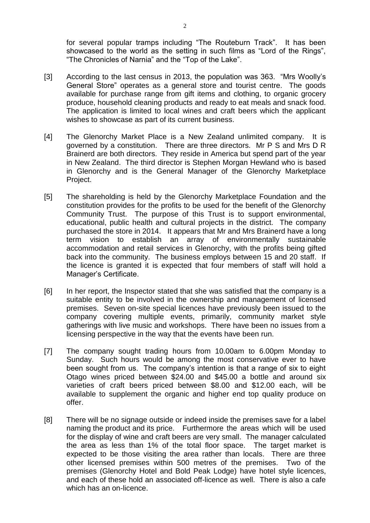for several popular tramps including "The Routeburn Track". It has been showcased to the world as the setting in such films as "Lord of the Rings", "The Chronicles of Narnia" and the "Top of the Lake".

- [3] According to the last census in 2013, the population was 363. "Mrs Woolly's General Store" operates as a general store and tourist centre. The goods available for purchase range from gift items and clothing, to organic grocery produce, household cleaning products and ready to eat meals and snack food. The application is limited to local wines and craft beers which the applicant wishes to showcase as part of its current business.
- [4] The Glenorchy Market Place is a New Zealand unlimited company. It is governed by a constitution. There are three directors. Mr P S and Mrs D R Brainerd are both directors. They reside in America but spend part of the year in New Zealand. The third director is Stephen Morgan Hewland who is based in Glenorchy and is the General Manager of the Glenorchy Marketplace Project.
- [5] The shareholding is held by the Glenorchy Marketplace Foundation and the constitution provides for the profits to be used for the benefit of the Glenorchy Community Trust. The purpose of this Trust is to support environmental, educational, public health and cultural projects in the district. The company purchased the store in 2014. It appears that Mr and Mrs Brainerd have a long term vision to establish an array of environmentally sustainable accommodation and retail services in Glenorchy, with the profits being gifted back into the community. The business employs between 15 and 20 staff. If the licence is granted it is expected that four members of staff will hold a Manager's Certificate.
- [6] In her report, the Inspector stated that she was satisfied that the company is a suitable entity to be involved in the ownership and management of licensed premises. Seven on-site special licences have previously been issued to the company covering multiple events, primarily, community market style gatherings with live music and workshops. There have been no issues from a licensing perspective in the way that the events have been run.
- [7] The company sought trading hours from 10.00am to 6.00pm Monday to Sunday. Such hours would be among the most conservative ever to have been sought from us. The company's intention is that a range of six to eight Otago wines priced between \$24.00 and \$45.00 a bottle and around six varieties of craft beers priced between \$8.00 and \$12.00 each, will be available to supplement the organic and higher end top quality produce on offer.
- [8] There will be no signage outside or indeed inside the premises save for a label naming the product and its price. Furthermore the areas which will be used for the display of wine and craft beers are very small. The manager calculated the area as less than 1% of the total floor space. The target market is expected to be those visiting the area rather than locals. There are three other licensed premises within 500 metres of the premises. Two of the premises (Glenorchy Hotel and Bold Peak Lodge) have hotel style licences, and each of these hold an associated off-licence as well. There is also a cafe which has an on-licence.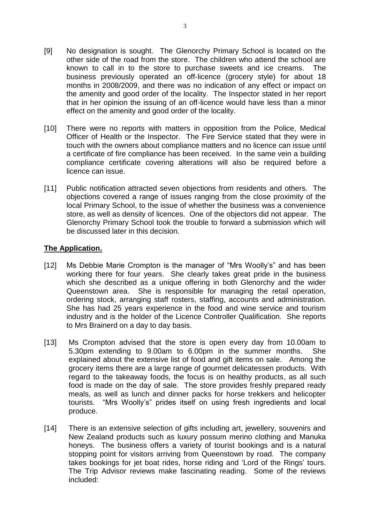- [9] No designation is sought. The Glenorchy Primary School is located on the other side of the road from the store. The children who attend the school are known to call in to the store to purchase sweets and ice creams. The business previously operated an off-licence (grocery style) for about 18 months in 2008/2009, and there was no indication of any effect or impact on the amenity and good order of the locality. The Inspector stated in her report that in her opinion the issuing of an off-licence would have less than a minor effect on the amenity and good order of the locality.
- [10] There were no reports with matters in opposition from the Police, Medical Officer of Health or the Inspector. The Fire Service stated that they were in touch with the owners about compliance matters and no licence can issue until a certificate of fire compliance has been received. In the same vein a building compliance certificate covering alterations will also be required before a licence can issue.
- [11] Public notification attracted seven objections from residents and others. The objections covered a range of issues ranging from the close proximity of the local Primary School, to the issue of whether the business was a convenience store, as well as density of licences. One of the objectors did not appear. The Glenorchy Primary School took the trouble to forward a submission which will be discussed later in this decision.

## **The Application.**

- [12] Ms Debbie Marie Crompton is the manager of "Mrs Woolly's" and has been working there for four years. She clearly takes great pride in the business which she described as a unique offering in both Glenorchy and the wider Queenstown area. She is responsible for managing the retail operation, ordering stock, arranging staff rosters, staffing, accounts and administration. She has had 25 years experience in the food and wine service and tourism industry and is the holder of the Licence Controller Qualification. She reports to Mrs Brainerd on a day to day basis.
- [13] Ms Crompton advised that the store is open every day from 10.00am to 5.30pm extending to 9.00am to 6.00pm in the summer months. She explained about the extensive list of food and gift items on sale. Among the grocery items there are a large range of gourmet delicatessen products. With regard to the takeaway foods, the focus is on healthy products, as all such food is made on the day of sale. The store provides freshly prepared ready meals, as well as lunch and dinner packs for horse trekkers and helicopter tourists. "Mrs Woolly's" prides itself on using fresh ingredients and local produce.
- [14] There is an extensive selection of gifts including art, jewellery, souvenirs and New Zealand products such as luxury possum merino clothing and Manuka honeys. The business offers a variety of tourist bookings and is a natural stopping point for visitors arriving from Queenstown by road. The company takes bookings for jet boat rides, horse riding and 'Lord of the Rings' tours. The Trip Advisor reviews make fascinating reading. Some of the reviews included: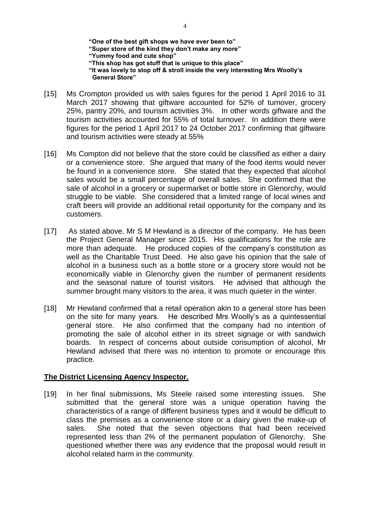**"One of the best gift shops we have ever been to" "Super store of the kind they don't make any more" "Yummy food and cute shop" "This shop has got stuff that is unique to this place" "It was lovely to stop off & stroll inside the very interesting Mrs Woolly's General Store"**

- [15] Ms Crompton provided us with sales figures for the period 1 April 2016 to 31 March 2017 showing that giftware accounted for 52% of turnover, grocery 25%, pantry 20%, and tourism activities 3%. In other words giftware and the tourism activities accounted for 55% of total turnover. In addition there were figures for the period 1 April 2017 to 24 October 2017 confirming that giftware and tourism activities were steady at 55%
- [16] Ms Compton did not believe that the store could be classified as either a dairy or a convenience store. She argued that many of the food items would never be found in a convenience store. She stated that they expected that alcohol sales would be a small percentage of overall sales. She confirmed that the sale of alcohol in a grocery or supermarket or bottle store in Glenorchy, would struggle to be viable. She considered that a limited range of local wines and craft beers will provide an additional retail opportunity for the company and its customers.
- [17] As stated above, Mr S M Hewland is a director of the company. He has been the Project General Manager since 2015. His qualifications for the role are more than adequate. He produced copies of the company's constitution as well as the Charitable Trust Deed. He also gave his opinion that the sale of alcohol in a business such as a bottle store or a grocery store would not be economically viable in Glenorchy given the number of permanent residents and the seasonal nature of tourist visitors. He advised that although the summer brought many visitors to the area, it was much quieter in the winter.
- [18] Mr Hewland confirmed that a retail operation akin to a general store has been on the site for many years. He described Mrs Woolly's as a quintessential general store. He also confirmed that the company had no intention of promoting the sale of alcohol either in its street signage or with sandwich boards. In respect of concerns about outside consumption of alcohol, Mr Hewland advised that there was no intention to promote or encourage this practice.

#### **The District Licensing Agency Inspector.**

[19] In her final submissions, Ms Steele raised some interesting issues. She submitted that the general store was a unique operation having the characteristics of a range of different business types and it would be difficult to class the premises as a convenience store or a dairy given the make-up of sales. She noted that the seven objections that had been received represented less than 2% of the permanent population of Glenorchy. She questioned whether there was any evidence that the proposal would result in alcohol related harm in the community.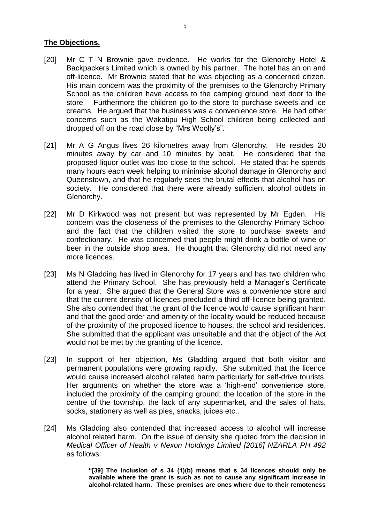#### **The Objections.**

- [20] Mr C T N Brownie gave evidence. He works for the Glenorchy Hotel & Backpackers Limited which is owned by his partner. The hotel has an on and off-licence. Mr Brownie stated that he was objecting as a concerned citizen. His main concern was the proximity of the premises to the Glenorchy Primary School as the children have access to the camping ground next door to the store. Furthermore the children go to the store to purchase sweets and ice creams. He argued that the business was a convenience store. He had other concerns such as the Wakatipu High School children being collected and dropped off on the road close by "Mrs Woolly's".
- [21] Mr A G Angus lives 26 kilometres away from Glenorchy. He resides 20 minutes away by car and 10 minutes by boat. He considered that the proposed liquor outlet was too close to the school. He stated that he spends many hours each week helping to minimise alcohol damage in Glenorchy and Queenstown, and that he regularly sees the brutal effects that alcohol has on society. He considered that there were already sufficient alcohol outlets in Glenorchy.
- [22] Mr D Kirkwood was not present but was represented by Mr Egden. His concern was the closeness of the premises to the Glenorchy Primary School and the fact that the children visited the store to purchase sweets and confectionary. He was concerned that people might drink a bottle of wine or beer in the outside shop area. He thought that Glenorchy did not need any more licences.
- [23] Ms N Gladding has lived in Glenorchy for 17 years and has two children who attend the Primary School. She has previously held a Manager's Certificate for a year. She argued that the General Store was a convenience store and that the current density of licences precluded a third off-licence being granted. She also contended that the grant of the licence would cause significant harm and that the good order and amenity of the locality would be reduced because of the proximity of the proposed licence to houses, the school and residences. She submitted that the applicant was unsuitable and that the object of the Act would not be met by the granting of the licence.
- [23] In support of her objection, Ms Gladding argued that both visitor and permanent populations were growing rapidly. She submitted that the licence would cause increased alcohol related harm particularly for self-drive tourists. Her arguments on whether the store was a 'high-end' convenience store, included the proximity of the camping ground; the location of the store in the centre of the township, the lack of any supermarket, and the sales of hats, socks, stationery as well as pies, snacks, juices etc,.
- [24] Ms Gladding also contended that increased access to alcohol will increase alcohol related harm. On the issue of density she quoted from the decision in *Medical Officer of Health v Nexon Holdings Limited [2016] NZARLA PH 492*  as follows:

**"[39] The inclusion of s 34 (1)(b) means that s 34 licences should only be available where the grant is such as not to cause any significant increase in alcohol-related harm. These premises are ones where due to their remoteness**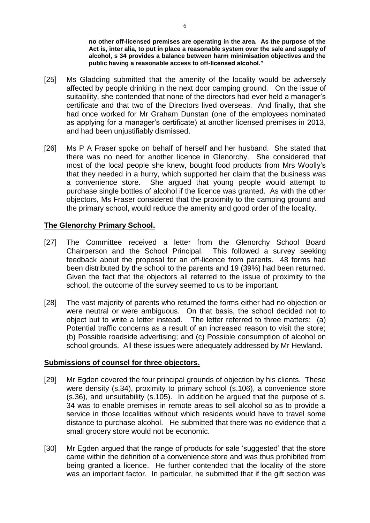**no other off-licensed premises are operating in the area. As the purpose of the Act is, inter alia, to put in place a reasonable system over the sale and supply of alcohol, s 34 provides a balance between harm minimisation objectives and the public having a reasonable access to off-licensed alcohol."**

- [25] Ms Gladding submitted that the amenity of the locality would be adversely affected by people drinking in the next door camping ground. On the issue of suitability, she contended that none of the directors had ever held a manager's certificate and that two of the Directors lived overseas. And finally, that she had once worked for Mr Graham Dunstan (one of the employees nominated as applying for a manager's certificate) at another licensed premises in 2013, and had been unjustifiably dismissed.
- [26] Ms P A Fraser spoke on behalf of herself and her husband. She stated that there was no need for another licence in Glenorchy. She considered that most of the local people she knew, bought food products from Mrs Woolly's that they needed in a hurry, which supported her claim that the business was a convenience store. She argued that young people would attempt to purchase single bottles of alcohol if the licence was granted. As with the other objectors, Ms Fraser considered that the proximity to the camping ground and the primary school, would reduce the amenity and good order of the locality.

# **The Glenorchy Primary School.**

- [27] The Committee received a letter from the Glenorchy School Board Chairperson and the School Principal. This followed a survey seeking feedback about the proposal for an off-licence from parents. 48 forms had been distributed by the school to the parents and 19 (39%) had been returned. Given the fact that the objectors all referred to the issue of proximity to the school, the outcome of the survey seemed to us to be important.
- [28] The vast majority of parents who returned the forms either had no objection or were neutral or were ambiguous. On that basis, the school decided not to object but to write a letter instead. The letter referred to three matters: (a) Potential traffic concerns as a result of an increased reason to visit the store; (b) Possible roadside advertising; and (c) Possible consumption of alcohol on school grounds. All these issues were adequately addressed by Mr Hewland.

## **Submissions of counsel for three objectors.**

- [29] Mr Egden covered the four principal grounds of objection by his clients. These were density (s.34), proximity to primary school (s.106), a convenience store (s.36), and unsuitability (s.105). In addition he argued that the purpose of s. 34 was to enable premises in remote areas to sell alcohol so as to provide a service in those localities without which residents would have to travel some distance to purchase alcohol. He submitted that there was no evidence that a small grocery store would not be economic.
- [30] Mr Egden argued that the range of products for sale 'suggested' that the store came within the definition of a convenience store and was thus prohibited from being granted a licence. He further contended that the locality of the store was an important factor. In particular, he submitted that if the gift section was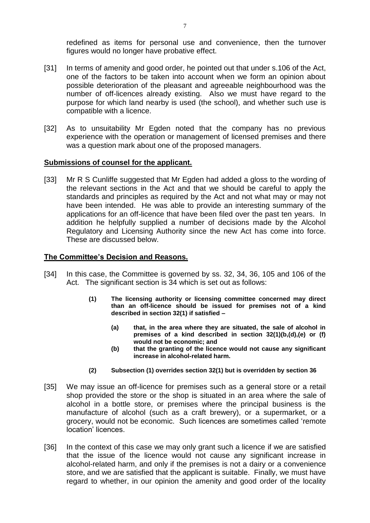redefined as items for personal use and convenience, then the turnover figures would no longer have probative effect.

- [31] In terms of amenity and good order, he pointed out that under s.106 of the Act, one of the factors to be taken into account when we form an opinion about possible deterioration of the pleasant and agreeable neighbourhood was the number of off-licences already existing. Also we must have regard to the purpose for which land nearby is used (the school), and whether such use is compatible with a licence.
- [32] As to unsuitability Mr Egden noted that the company has no previous experience with the operation or management of licensed premises and there was a question mark about one of the proposed managers.

### **Submissions of counsel for the applicant.**

[33] Mr R S Cunliffe suggested that Mr Egden had added a gloss to the wording of the relevant sections in the Act and that we should be careful to apply the standards and principles as required by the Act and not what may or may not have been intended. He was able to provide an interesting summary of the applications for an off-licence that have been filed over the past ten years. In addition he helpfully supplied a number of decisions made by the Alcohol Regulatory and Licensing Authority since the new Act has come into force. These are discussed below.

#### **The Committee's Decision and Reasons.**

- [34] In this case, the Committee is governed by ss. 32, 34, 36, 105 and 106 of the Act. The significant section is 34 which is set out as follows:
	- **(1) The licensing authority or licensing committee concerned may direct than an off-licence should be issued for premises not of a kind described in section 32(1) if satisfied –**
		- **(a) that, in the area where they are situated, the sale of alcohol in premises of a kind described in section 32(1)(b,(d),(e) or (f) would not be economic; and**
		- **(b) that the granting of the licence would not cause any significant increase in alcohol-related harm.**
	- **(2) Subsection (1) overrides section 32(1) but is overridden by section 36**
- [35] We may issue an off-licence for premises such as a general store or a retail shop provided the store or the shop is situated in an area where the sale of alcohol in a bottle store, or premises where the principal business is the manufacture of alcohol (such as a craft brewery), or a supermarket, or a grocery, would not be economic. Such licences are sometimes called 'remote location' licences.
- [36] In the context of this case we may only grant such a licence if we are satisfied that the issue of the licence would not cause any significant increase in alcohol-related harm, and only if the premises is not a dairy or a convenience store, and we are satisfied that the applicant is suitable. Finally, we must have regard to whether, in our opinion the amenity and good order of the locality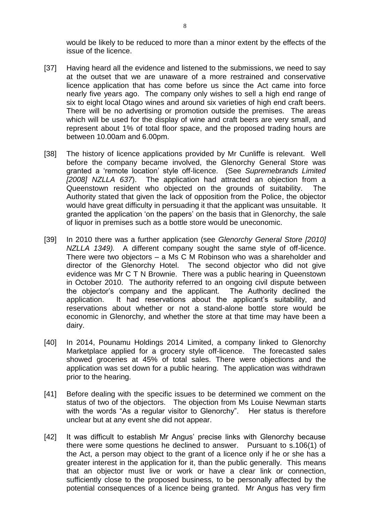would be likely to be reduced to more than a minor extent by the effects of the issue of the licence.

- [37] Having heard all the evidence and listened to the submissions, we need to say at the outset that we are unaware of a more restrained and conservative licence application that has come before us since the Act came into force nearly five years ago. The company only wishes to sell a high end range of six to eight local Otago wines and around six varieties of high end craft beers. There will be no advertising or promotion outside the premises. The areas which will be used for the display of wine and craft beers are very small, and represent about 1% of total floor space, and the proposed trading hours are between 10.00am and 6.00pm.
- [38] The history of licence applications provided by Mr Cunliffe is relevant. Well before the company became involved, the Glenorchy General Store was granted a 'remote location' style off-licence. (See *Supremebrands Limited [2008] NZLLA 637*). The application had attracted an objection from a Queenstown resident who objected on the grounds of suitability. The Authority stated that given the lack of opposition from the Police, the objector would have great difficulty in persuading it that the applicant was unsuitable. It granted the application 'on the papers' on the basis that in Glenorchy, the sale of liquor in premises such as a bottle store would be uneconomic.
- [39] In 2010 there was a further application (see *Glenorchy General Store [2010] NZLLA 1349).* A different company sought the same style of off-licence. There were two objectors – a Ms C M Robinson who was a shareholder and director of the Glenorchy Hotel. The second objector who did not give evidence was Mr C T N Brownie. There was a public hearing in Queenstown in October 2010. The authority referred to an ongoing civil dispute between the objector's company and the applicant. The Authority declined the application. It had reservations about the applicant's suitability, and reservations about whether or not a stand-alone bottle store would be economic in Glenorchy, and whether the store at that time may have been a dairy.
- [40] In 2014, Pounamu Holdings 2014 Limited, a company linked to Glenorchy Marketplace applied for a grocery style off-licence. The forecasted sales showed groceries at 45% of total sales. There were objections and the application was set down for a public hearing. The application was withdrawn prior to the hearing.
- [41] Before dealing with the specific issues to be determined we comment on the status of two of the objectors. The objection from Ms Louise Newman starts with the words "As a regular visitor to Glenorchy". Her status is therefore unclear but at any event she did not appear.
- [42] It was difficult to establish Mr Angus' precise links with Glenorchy because there were some questions he declined to answer. Pursuant to s.106(1) of the Act, a person may object to the grant of a licence only if he or she has a greater interest in the application for it, than the public generally. This means that an objector must live or work or have a clear link or connection, sufficiently close to the proposed business, to be personally affected by the potential consequences of a licence being granted. Mr Angus has very firm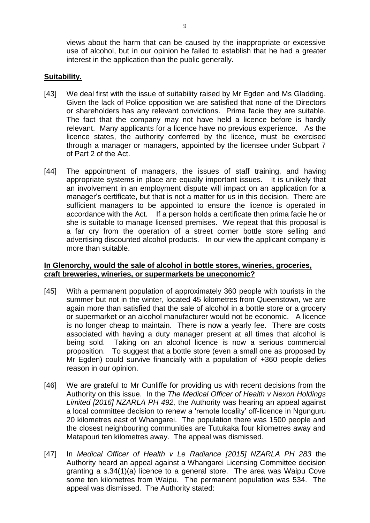views about the harm that can be caused by the inappropriate or excessive use of alcohol, but in our opinion he failed to establish that he had a greater interest in the application than the public generally.

# **Suitability.**

- [43] We deal first with the issue of suitability raised by Mr Egden and Ms Gladding. Given the lack of Police opposition we are satisfied that none of the Directors or shareholders has any relevant convictions. Prima facie they are suitable. The fact that the company may not have held a licence before is hardly relevant. Many applicants for a licence have no previous experience. As the licence states, the authority conferred by the licence, must be exercised through a manager or managers, appointed by the licensee under Subpart 7 of Part 2 of the Act.
- [44] The appointment of managers, the issues of staff training, and having appropriate systems in place are equally important issues. It is unlikely that an involvement in an employment dispute will impact on an application for a manager's certificate, but that is not a matter for us in this decision. There are sufficient managers to be appointed to ensure the licence is operated in accordance with the Act. If a person holds a certificate then prima facie he or she is suitable to manage licensed premises. We repeat that this proposal is a far cry from the operation of a street corner bottle store selling and advertising discounted alcohol products. In our view the applicant company is more than suitable.

## **In Glenorchy, would the sale of alcohol in bottle stores, wineries, groceries, craft breweries, wineries, or supermarkets be uneconomic?**

- [45] With a permanent population of approximately 360 people with tourists in the summer but not in the winter, located 45 kilometres from Queenstown, we are again more than satisfied that the sale of alcohol in a bottle store or a grocery or supermarket or an alcohol manufacturer would not be economic. A licence is no longer cheap to maintain. There is now a yearly fee. There are costs associated with having a duty manager present at all times that alcohol is being sold. Taking on an alcohol licence is now a serious commercial proposition. To suggest that a bottle store (even a small one as proposed by Mr Egden) could survive financially with a population of +360 people defies reason in our opinion.
- [46] We are grateful to Mr Cunliffe for providing us with recent decisions from the Authority on this issue. In the *The Medical Officer of Health v Nexon Holdings Limited [2016] NZARLA PH 492,* the Authority was hearing an appeal against a local committee decision to renew a 'remote locality' off-licence in Ngunguru 20 kilometres east of Whangarei. The population there was 1500 people and the closest neighbouring communities are Tutukaka four kilometres away and Matapouri ten kilometres away. The appeal was dismissed.
- [47] In *Medical Officer of Health v Le Radiance [2015] NZARLA PH 283* the Authority heard an appeal against a Whangarei Licensing Committee decision granting a s.34(1)(a) licence to a general store. The area was Waipu Cove some ten kilometres from Waipu. The permanent population was 534. The appeal was dismissed. The Authority stated: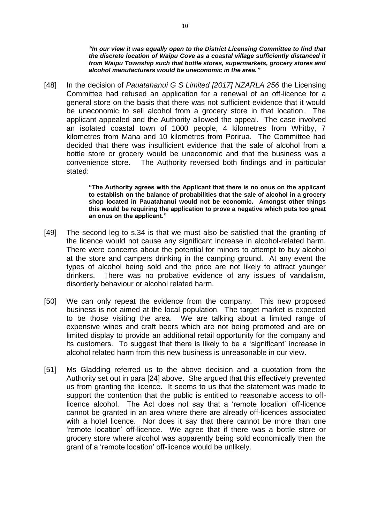*"In our view it was equally open to the District Licensing Committee to find that the discrete location of Waipu Cove as a coastal village sufficiently distanced it from Waipu Township such that bottle stores, supermarkets, grocery stores and alcohol manufacturers would be uneconomic in the area."* 

[48] In the decision of *Pauatahanui G S Limited [2017] NZARLA 256* the Licensing Committee had refused an application for a renewal of an off-licence for a general store on the basis that there was not sufficient evidence that it would be uneconomic to sell alcohol from a grocery store in that location. The applicant appealed and the Authority allowed the appeal. The case involved an isolated coastal town of 1000 people, 4 kilometres from Whitby, 7 kilometres from Mana and 10 kilometres from Porirua. The Committee had decided that there was insufficient evidence that the sale of alcohol from a bottle store or grocery would be uneconomic and that the business was a convenience store. The Authority reversed both findings and in particular stated:

> **"The Authority agrees with the Applicant that there is no onus on the applicant to establish on the balance of probabilities that the sale of alcohol in a grocery shop located in Pauatahanui would not be economic. Amongst other things this would be requiring the application to prove a negative which puts too great an onus on the applicant."**

- [49] The second leg to s.34 is that we must also be satisfied that the granting of the licence would not cause any significant increase in alcohol-related harm. There were concerns about the potential for minors to attempt to buy alcohol at the store and campers drinking in the camping ground. At any event the types of alcohol being sold and the price are not likely to attract younger drinkers. There was no probative evidence of any issues of vandalism, disorderly behaviour or alcohol related harm.
- [50] We can only repeat the evidence from the company. This new proposed business is not aimed at the local population. The target market is expected to be those visiting the area. We are talking about a limited range of expensive wines and craft beers which are not being promoted and are on limited display to provide an additional retail opportunity for the company and its customers. To suggest that there is likely to be a 'significant' increase in alcohol related harm from this new business is unreasonable in our view.
- [51] Ms Gladding referred us to the above decision and a quotation from the Authority set out in para [24] above. She argued that this effectively prevented us from granting the licence. It seems to us that the statement was made to support the contention that the public is entitled to reasonable access to offlicence alcohol. The Act does not say that a 'remote location' off-licence cannot be granted in an area where there are already off-licences associated with a hotel licence. Nor does it say that there cannot be more than one 'remote location' off-licence. We agree that if there was a bottle store or grocery store where alcohol was apparently being sold economically then the grant of a 'remote location' off-licence would be unlikely.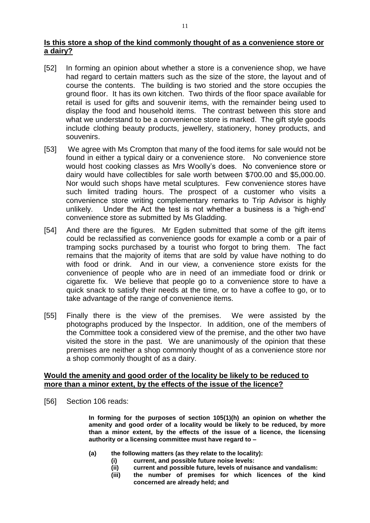## **Is this store a shop of the kind commonly thought of as a convenience store or a dairy?**

- [52] In forming an opinion about whether a store is a convenience shop, we have had regard to certain matters such as the size of the store, the layout and of course the contents. The building is two storied and the store occupies the ground floor. It has its own kitchen. Two thirds of the floor space available for retail is used for gifts and souvenir items, with the remainder being used to display the food and household items. The contrast between this store and what we understand to be a convenience store is marked. The gift style goods include clothing beauty products, jewellery, stationery, honey products, and souvenirs.
- [53] We agree with Ms Crompton that many of the food items for sale would not be found in either a typical dairy or a convenience store. No convenience store would host cooking classes as Mrs Woolly's does. No convenience store or dairy would have collectibles for sale worth between \$700.00 and \$5,000.00. Nor would such shops have metal sculptures. Few convenience stores have such limited trading hours. The prospect of a customer who visits a convenience store writing complementary remarks to Trip Advisor is highly unlikely. Under the Act the test is not whether a business is a 'high-end' convenience store as submitted by Ms Gladding.
- [54] And there are the figures. Mr Egden submitted that some of the gift items could be reclassified as convenience goods for example a comb or a pair of tramping socks purchased by a tourist who forgot to bring them. The fact remains that the majority of items that are sold by value have nothing to do with food or drink. And in our view, a convenience store exists for the convenience of people who are in need of an immediate food or drink or cigarette fix. We believe that people go to a convenience store to have a quick snack to satisfy their needs at the time, or to have a coffee to go, or to take advantage of the range of convenience items.
- [55] Finally there is the view of the premises. We were assisted by the photographs produced by the Inspector. In addition, one of the members of the Committee took a considered view of the premise, and the other two have visited the store in the past. We are unanimously of the opinion that these premises are neither a shop commonly thought of as a convenience store nor a shop commonly thought of as a dairy.

### **Would the amenity and good order of the locality be likely to be reduced to more than a minor extent, by the effects of the issue of the licence?**

[56] Section 106 reads:

**In forming for the purposes of section 105(1)(h) an opinion on whether the amenity and good order of a locality would be likely to be reduced, by more than a minor extent, by the effects of the issue of a licence, the licensing authority or a licensing committee must have regard to –**

- **(a) the following matters (as they relate to the locality):**
	- **(i) current, and possible future noise levels:**
	- **(ii) current and possible future, levels of nuisance and vandalism:**
	- **(iii) the number of premises for which licences of the kind concerned are already held; and**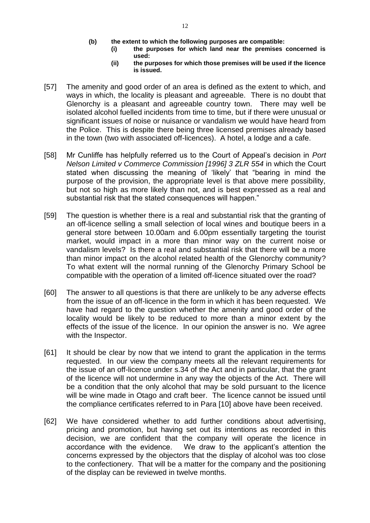- **(b) the extent to which the following purposes are compatible:**
	- **(i) the purposes for which land near the premises concerned is used:**
		- **(ii) the purposes for which those premises will be used if the licence is issued.**
- [57] The amenity and good order of an area is defined as the extent to which, and ways in which, the locality is pleasant and agreeable. There is no doubt that Glenorchy is a pleasant and agreeable country town. There may well be isolated alcohol fuelled incidents from time to time, but if there were unusual or significant issues of noise or nuisance or vandalism we would have heard from the Police. This is despite there being three licensed premises already based in the town (two with associated off-licences). A hotel, a lodge and a cafe.
- [58] Mr Cunliffe has helpfully referred us to the Court of Appeal's decision in *Port Nelson Limited v Commerce Commission [1996] 3 ZLR 554* in which the Court stated when discussing the meaning of 'likely' that "bearing in mind the purpose of the provision, the appropriate level is that above mere possibility, but not so high as more likely than not, and is best expressed as a real and substantial risk that the stated consequences will happen."
- [59] The question is whether there is a real and substantial risk that the granting of an off-licence selling a small selection of local wines and boutique beers in a general store between 10.00am and 6.00pm essentially targeting the tourist market, would impact in a more than minor way on the current noise or vandalism levels? Is there a real and substantial risk that there will be a more than minor impact on the alcohol related health of the Glenorchy community? To what extent will the normal running of the Glenorchy Primary School be compatible with the operation of a limited off-licence situated over the road?
- [60] The answer to all questions is that there are unlikely to be any adverse effects from the issue of an off-licence in the form in which it has been requested. We have had regard to the question whether the amenity and good order of the locality would be likely to be reduced to more than a minor extent by the effects of the issue of the licence. In our opinion the answer is no. We agree with the Inspector.
- [61] It should be clear by now that we intend to grant the application in the terms requested. In our view the company meets all the relevant requirements for the issue of an off-licence under s.34 of the Act and in particular, that the grant of the licence will not undermine in any way the objects of the Act. There will be a condition that the only alcohol that may be sold pursuant to the licence will be wine made in Otago and craft beer. The licence cannot be issued until the compliance certificates referred to in Para [10] above have been received.
- [62] We have considered whether to add further conditions about advertising, pricing and promotion, but having set out its intentions as recorded in this decision, we are confident that the company will operate the licence in accordance with the evidence. We draw to the applicant's attention the concerns expressed by the objectors that the display of alcohol was too close to the confectionery. That will be a matter for the company and the positioning of the display can be reviewed in twelve months.